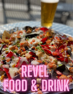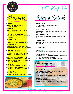





STRIKE FRIES 7 BASKET OF OUR HOUSE SEASONED FRIES V ADD PIMENTO QUESO 1

SPARE TOTS 7 BASKET OF OUR HOUSE SEASONED TATER TOTS V add pimento queso 1

#### PEPPER JACK CHEESE BALLS 8 Fried cubes of Pepper jack cheese served with CHIPOTLE RANCH V

PRETZEL PLATTER 9 CHEESE FILLED AND SOFT PRETZEL NUGGETS SERVED WITH HONEY MUSTARD AND PIMENTO QUESO V

LOADED FRIES 10 FRENCH FRIES SMOTHERED WITH PIMENTO QUESO, bourbon pickled jalapenos, bacon and scallions

#### Boneless wings 10/16

1/2 pound or 1 pound of Breaded pieces of white MEAT CHICKEN. TOSSED IN CHOICE OF BBQ, GARLIC Parmesan, Jamaican jerk or BUffalo

#### I CAN'T BELIEVE IT'S NOT CHICKEN! 12

1/2 pound of Breaded Gardein plant based chick'n bites. Tossed in choice of BBQ, Garlic Parmesan, Jamaican Jerk or Buffalo V

#### NACHOS 10

Tortilla chips with roasted corn salsa, black beans, monterey jack cheese, pimento queso, bourbon pickled jalapenos and scallions v

**ADD SOUR CREAM 1** AD<mark>D GROUND BEEF 3</mark> add smoked chicken, HOT chicken or pulled pork 5



Munchies Dips & Salads

chips and salsa 5 tortilla chips served with housemade salsa v add pimento queso 1

buffalo chicken dip 9 shredded buffalo chicken in a cheesy dip served with tortilla chips, grilled pita and celery

crab rangoon dip 11 crab claw meat in a cheesy dip served with wonton chips and celery

#### southwest salad 9

Romaine lettuce with corn salsa, black beans, tortilla chips and chipotle ranch GF V add Crispy chicken or smoked chicken 5 as a side salad 5

caesar salad 8 romaine lettuce with parmesan cheese, croutons and caesar dressing GF V add Crispy chicken or smoked chicken 5 as a side salad 5

#### Legends garden salad 9

Black Olives, CUcumber, red onion, monterey jack cheese and croutons with your choice of dressing GF V add Crispy chicken or smoked chicken 5 as a side salad 5



#### BYO BURGER 13

70Z PRIME BEEF PATTY ON A BRIOCHE BUN WITH TOMATOES, ARUGULA, RED ONION AND PICKLES

CHOICE OF CHEDDAR, SWISS, PEPPERJACK OR AMERICAN CHEESE

ADD PREMIUM TOPPINGS 1 BACON, FRIED EGG, BOURBON JALAPENOS SAUTEED MUSHROOMS, CARAMELIZED ONION, GLUTEN FREE BUN

 $GF = GLUTEN FREE$   $V = VEGETARIAN$ 

Consuming raw or undercooked meats, poultry, seafood or eggs may increase the risk of foodborne illness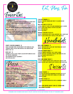





#### Quesadilla 10

Flour tortilla, Roasted Corn Salsa and Black Beans with MONTEREY JACK CHEESE SERVED WITH TORTILLA CHIPS **AND SALSA** Add Sour Cream 1 Add HOt Chicken, smoked Chicken or pulled Pork 5

#### **BBO TOTCHOS 13**

Tater tots topped with spicy slaw, pimento queso and BBQ SAUCE WITH YOUR CHOICE OF SMOKED CHICKEN OR PULLED PORK add Bourbon pickled jalapenos 1

#### Crispy chicken sammich 12

ranch seasoned fried chicken breast with sriracha aioli, cheddar cheese, pickles and arugula on a brioche bun make it hot .50

#### REvel BLT 12

Romaine Lettuce, Sliced Tomato, Bacon with sriracha Aioli ON TOASTED SOURDOUGH Add Bourbon Pickled Jalapenos 1 Add Extra Bacon 2



#### Garlic cheese bread 12 **CHEESY GARLIC BREAD SERVED WITH MARINARA**

#### build your own pizza 12 garlic crust base (sub cauliflower crust- no charge GF v)

MUSHROOMS, GREEN PEPPERS, ROMA TOMATO Veggie toppings 2 BLACK OLIVES, BANANA peppers, jalapenos, **RED ONION** 

premium toppings 2 Bacon, pepperoni, sausage, ham, chicken, fresh basil,

#### family combo 25 one topping detroit style pizza, 1/2 pound of boneless wings served with Tortilla chips and salsa

CHICKEN TENDERS 11

Breaded Chicken Tenderloins fried to golden brown **PERFECTION** 

#### WALTER'S MAC N TOTS 10

LAYERED BOWL OF TATER TOTS AND HOUSEMADE MAC N CHEESE, DRIZZLED WITH SOUR CREAM, TOP WITH SCALLIONS V **ADD CRISPY BACON 2** add pulled pork 5

#### SMOKED CHICKEN TACOS 12

SMOKED CHICKEN WITH SPICY SLAW, MONTEREY JACK CHEESE AND sriracha aioli served with tortilla chips and salsa

Handhelds

**BBQ PORK SAMMICH 9** pulled pork with Spicy Slaw and Traditional BbQ Sauce served on a brioche bun

CHICKEN TENDER WRAP 11 chicken tenders, monterey jack cheese, onion, bourbon pickled jalapenos, arugula and sriracha aioli sub plant Based Chick'n bites 4 V MAKE IT <mark>HOT .50</mark>

#### popcorn shrimp wrap 11

Coconut shrimp wrapped with corn salsa, arugula and jamaican jerk sauce served with tortilla chips and salsa



#### GIMME S'MORE 6

Graham Crackers with Marshmallow and Chocolate CHIPS BAKED AND TOPPED WITH VANILLA ICE CREAM AND Whipped Cream

MONKEY STICKS 12 Cinnamon baked breadsticks with a Homemade vanilla **ICING** 

ASK your server about our ice cream and milkshake flavors!

 $GF = GLUTEN FREE$   $V = VEGETARIAN$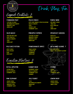

Drink. Play. Fun

Legends Cocktails 8

# **FORBIDDEN FRUIT**

**CAPTAIN COCONUT WATERMELON SCHNAPPS PINEAPPLE JUICE SIERRA MIST** 

# **BLUE MAGIC**

**DRAGON FRUIT RUM BLUE CURACAO PEACH SCHNAPPS SOUR SIERRA MIST** 

## **POLYJUICE POTION**

**APPLE VODKA APPLE PUCKER SOUR SIERRA MIST** 

# **PEACH PUNCH**

**KETEL ONE ORANGE & PEACH BLOSSOM PEACH SCHNAPPS SODA ORANGE JUICE CRANBERRY JUICE** 

# **PINEAPPLE EXPRESS**

**CAPTAIN COCONUT PINEAPPLE VODKA PINEAPPLE JUICE SIERRA MIST** 

# **POMEGRANATE SPRITZ**

**PAMA LIQUEUR CHAMPAGNE CRANBERRY SIERRA MIST** 

# **PURPLE NERD**

**RED BERRY VODKA TRIPLE SEC BLUE CURACAO SOUR SIERRA MIST** 

# **SPEAKEASY SANGRIA**

**MOSCATO PEACH SCHNAPPS TRIPLE SEC SIERRA MIST** 

# SIP N SHINE SLUSHEE 7



Executive Martinis 8

#### **ROYAL APPLETINI**

**CROWN APPIF PEACH SCHNAPPS CRANBERRY JUICE** 

# **PINK ELEPHANT**

**LEMON VODKA PEACH SCHNAPPS PINEAPPLE JUICE CRANBERRY JUICE** 

# **GUMMY BEAR**

**RASPBERRY VODKA PEACH SCHNAPPS CRANBERRY JUICE GUMMIES** 

# **JOLLY BURST**

**TITOS WATERMELON SCHNAPPS SIERRA MIST SOUR** 

## **LEMON DROP**

**LEMON VODKA CITRON LIQUEUR SIMPLE SYRUP**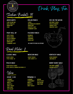



Stadium Buckets 14

# Adios Mofo

LONG ISLAND MIX BLUE CURACAO SIERRA MIST SOUR

APPLE VODKA PEACH VODKA PEACH SCHNAPPS **MELON LIQUEUR** SIERRA MIST CRANBERRY JUICE

# Rollin Punch

**VODKA WATERMELON SCHNAPPS SIERRA MIST** pineapple juice **CRANBERRY JUICE** 

## FRUIT ROLL UP PACKERS PUNCH

**BOURBON** Triple Sec **LEMONADE SIERRA MIST** 

\*No substitutions no refunds

# Sex on the moon

RED BERRY VODKA PEACH SCHNAPPS ORANGE JUICE PINEAPPLE JUICE



Revel Mules 8

# Classic MUle

HOUSE VODKA TITOS VODKA 10

# Peach MUle

HOUSE PEACH VODKA KETEL PEACH & ORANGE BLOSSOM 10

Wine

HOuse 5.50 PRemium 8 **CABERNET** CHARDONNAY MERLOT MOSCATO PINOT GRIGIO PINOT NOIR SAUV BLANC

# MExican MUle

HOUSE TEQUILA JOSE CUERVO 10

# Kentucky MUle

**HOUSE WHISKEY** JIM BEAM 10

### Berry Burst MUle



CABERNET MEIOMI CHARDONNAY WYCLIF BRUT MERLOT SAUV BLANC MOSCATO PINOT NOIR PINOT GRIGIO